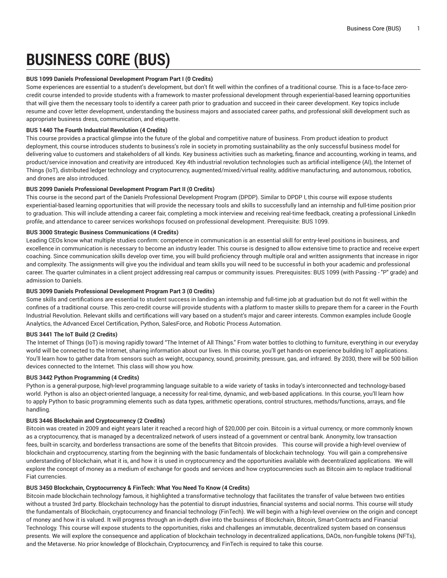# **BUSINESS CORE (BUS)**

## **BUS 1099 Daniels Professional Development Program Part I (0 Credits)**

Some experiences are essential to a student's development, but don't fit well within the confines of a traditional course. This is a face-to-face zerocredit course intended to provide students with a framework to master professional development through experiential-based learning opportunities that will give them the necessary tools to identify a career path prior to graduation and succeed in their career development. Key topics include resume and cover letter development, understanding the business majors and associated career paths, and professional skill development such as appropriate business dress, communication, and etiquette.

## **BUS 1440 The Fourth Industrial Revolution (4 Credits)**

This course provides a practical glimpse into the future of the global and competitive nature of business. From product ideation to product deployment, this course introduces students to business's role in society in promoting sustainability as the only successful business model for delivering value to customers and stakeholders of all kinds. Key business activities such as marketing, finance and accounting, working in teams, and product/service innovation and creativity are introduced. Key 4th industrial revolution technologies such as artificial intelligence (AI), the Internet of Things (IoT), distributed ledger technology and cryptocurrency, augmented/mixed/virtual reality, additive manufacturing, and autonomous, robotics, and drones are also introduced.

## **BUS 2099 Daniels Professional Development Program Part II (0 Credits)**

This course is the second part of the Daniels Professional Development Program (DPDP). Similar to DPDP I, this course will expose students experiential-based learning opportunities that will provide the necessary tools and skills to successfully land an internship and full-time position prior to graduation. This will include attending a career fair, completing a mock interview and receiving real-time feedback, creating a professional LinkedIn profile, and attendance to career services workshops focused on professional development. Prerequisite: BUS 1099.

## **BUS 3000 Strategic Business Communications (4 Credits)**

Leading CEOs know what multiple studies confirm: competence in communication is an essential skill for entry-level positions in business, and excellence in communication is necessary to become an industry leader. This course is designed to allow extensive time to practice and receive expert coaching. Since communication skills develop over time, you will build proficiency through multiple oral and written assignments that increase in rigor and complexity. The assignments will give you the individual and team skills you will need to be successful in both your academic and professional career. The quarter culminates in a client project addressing real campus or community issues. Prerequisites: BUS 1099 (with Passing - "P" grade) and admission to Daniels.

## **BUS 3099 Daniels Professional Development Program Part 3 (0 Credits)**

Some skills and certifications are essential to student success in landing an internship and full-time job at graduation but do not fit well within the confines of a traditional course. This zero-credit course will provide students with a platform to master skills to prepare them for a career in the Fourth Industrial Revolution. Relevant skills and certifications will vary based on a student's major and career interests. Common examples include Google Analytics, the Advanced Excel Certification, Python, SalesForce, and Robotic Process Automation.

#### **BUS 3441 The IoT Build (2 Credits)**

The Internet of Things (IoT) is moving rapidly toward "The Internet of All Things." From water bottles to clothing to furniture, everything in our everyday world will be connected to the Internet, sharing information about our lives. In this course, you'll get hands-on experience building IoT applications. You'll learn how to gather data from sensors such as weight, occupancy, sound, proximity, pressure, gas, and infrared. By 2030, there will be 500 billion devices connected to the Internet. This class will show you how.

# **BUS 3442 Python Programming (4 Credits)**

Python is a general-purpose, high-level programming language suitable to a wide variety of tasks in today's interconnected and technology-based world. Python is also an object-oriented language, a necessity for real-time, dynamic, and web-based applications. In this course, you'll learn how to apply Python to basic programming elements such as data types, arithmetic operations, control structures, methods/functions, arrays, and file handling.

## **BUS 3446 Blockchain and Cryptocurrency (2 Credits)**

Bitcoin was created in 2009 and eight years later it reached a record high of \$20,000 per coin. Bitcoin is a virtual currency, or more commonly known as a cryptocurrency, that is managed by a decentralized network of users instead of a government or central bank. Anonymity, low transaction fees, built-in scarcity, and borderless transactions are some of the benefits that Bitcoin provides. This course will provide a high-level overview of blockchain and cryptocurrency, starting from the beginning with the basic fundamentals of blockchain technology. You will gain a comprehensive understanding of blockchain, what it is, and how it is used in cryptocurrency and the opportunities available with decentralized applications. We will explore the concept of money as a medium of exchange for goods and services and how cryptocurrencies such as Bitcoin aim to replace traditional Fiat currencies.

## **BUS 3450 Blockchain, Cryptocurrency & FinTech: What You Need To Know (4 Credits)**

Bitcoin made blockchain technology famous, it highlighted a transformative technology that facilitates the transfer of value between two entities without a trusted 3rd party. Blockchain technology has the potential to disrupt industries, financial systems and social norms. This course will study the fundamentals of Blockchain, cryptocurrency and financial technology (FinTech). We will begin with a high-level overview on the origin and concept of money and how it is valued. It will progress through an in-depth dive into the business of Blockchain, Bitcoin, Smart-Contracts and Financial Technology. This course will expose students to the opportunities, risks and challenges an immutable, decentralized system based on consensus presents. We will explore the consequence and application of blockchain technology in decentralized applications, DAOs, non-fungible tokens (NFTs), and the Metaverse. No prior knowledge of Blockchain, Cryptocurrency, and FinTech is required to take this course.